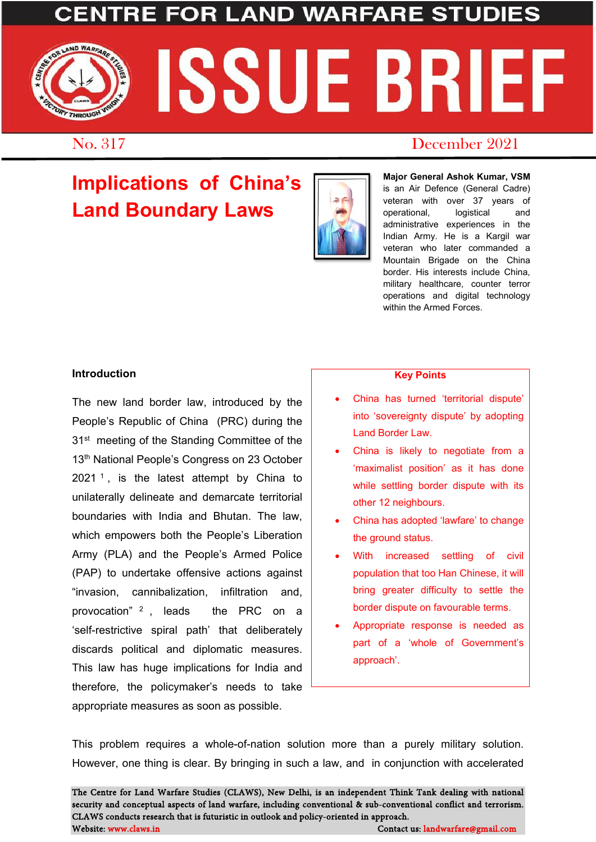## **LAND WARFA**



## No. 317 December 2021

# **Implications of China's Land Boundary Laws**



**Major General Ashok Kumar, VSM**  is an Air Defence (General Cadre) veteran with over 37 years of operational, logistical and administrative experiences in the Indian Army. He is a Kargil war veteran who later commanded a Mountain Brigade on the China border. His interests include China, military healthcare, counter terror operations and digital technology within the Armed Forces.

#### **Introduction**

The new land border law, introduced by the People's Republic of China (PRC) during the 31<sup>st</sup> meeting of the Standing Committee of the 13<sup>th</sup> National People's Congress on 23 October  $2021<sup>1</sup>$  $2021<sup>1</sup>$  $2021<sup>1</sup>$ , is the latest attempt by China to unilaterally delineate and demarcate territorial boundaries with India and Bhutan. The law, which empowers both the People's Liberation Army (PLA) and the People's Armed Police (PAP) to undertake offensive actions against "invasion, cannibalization, infiltration and, provocation" [2](#page-2-1) , leads the PRC on a 'self-restrictive spiral path' that deliberately discards political and diplomatic measures. This law has huge implications for India and therefore, the policymaker's needs to take appropriate measures as soon as possible.

#### **Key Points**

- China has turned 'territorial dispute' into 'sovereignty dispute' by adopting Land Border Law.
- China is likely to negotiate from a 'maximalist position' as it has done while settling border dispute with its other 12 neighbours.
- China has adopted 'lawfare' to change the ground status.
- With increased settling of civil population that too Han Chinese, it will bring greater difficulty to settle the border dispute on favourable terms.
- Appropriate response is needed as part of a 'whole of Government's approach'.

This problem requires a whole-of-nation solution more than a purely military solution. However, one thing is clear. By bringing in such a law, and in conjunction with accelerated

The Centre for Land Warfare Studies (CLAWS), New Delhi, is an independent Think Tank dealing with national security and conceptual aspects of land warfare, including conventional & sub-conventional conflict and terrorism. CLAWS conducts research that is futuristic in outlook and policy-oriented in approach. Website: www.claws.in Contact us: landwarfare@gmail.com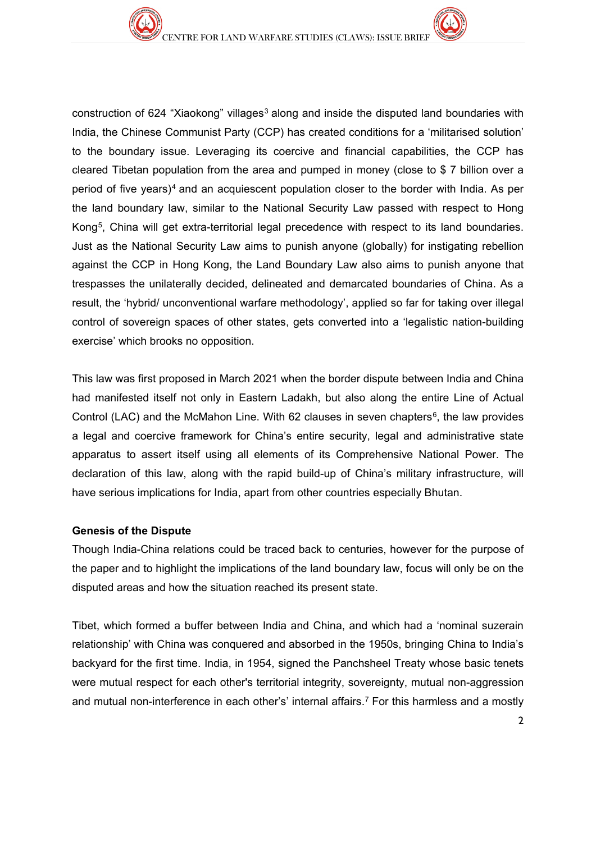construction of 624 "Xiaokong" villages<sup>[3](#page-2-2)</sup> along and inside the disputed land boundaries with India, the Chinese Communist Party (CCP) has created conditions for a 'militarised solution' to the boundary issue. Leveraging its coercive and financial capabilities, the CCP has cleared Tibetan population from the area and pumped in money (close to \$ 7 billion over a period of five years)<sup>[4](#page-2-3)</sup> and an acquiescent population closer to the border with India. As per the land boundary law, similar to the National Security Law passed with respect to Hong Kong[5](#page-2-4), China will get extra-territorial legal precedence with respect to its land boundaries. Just as the National Security Law aims to punish anyone (globally) for instigating rebellion against the CCP in Hong Kong, the Land Boundary Law also aims to punish anyone that trespasses the unilaterally decided, delineated and demarcated boundaries of China. As a result, the 'hybrid/ unconventional warfare methodology', applied so far for taking over illegal control of sovereign spaces of other states, gets converted into a 'legalistic nation-building exercise' which brooks no opposition.

This law was first proposed in March 2021 when the border dispute between India and China had manifested itself not only in Eastern Ladakh, but also along the entire Line of Actual Control (LAC) and the McMahon Line. With [6](#page-2-5)2 clauses in seven chapters<sup>6</sup>, the law provides a legal and coercive framework for China's entire security, legal and administrative state apparatus to assert itself using all elements of its Comprehensive National Power. The declaration of this law, along with the rapid build-up of China's military infrastructure, will have serious implications for India, apart from other countries especially Bhutan.

#### **Genesis of the Dispute**

Though India-China relations could be traced back to centuries, however for the purpose of the paper and to highlight the implications of the land boundary law, focus will only be on the disputed areas and how the situation reached its present state.

Tibet, which formed a buffer between India and China, and which had a 'nominal suzerain relationship' with China was conquered and absorbed in the 1950s, bringing China to India's backyard for the first time. India, in 1954, signed the Panchsheel Treaty whose basic tenets were mutual respect for each other's territorial integrity, sovereignty, mutual non-aggression and mutual non-interference in each other's' internal affairs.[7](#page-2-6) For this harmless and a mostly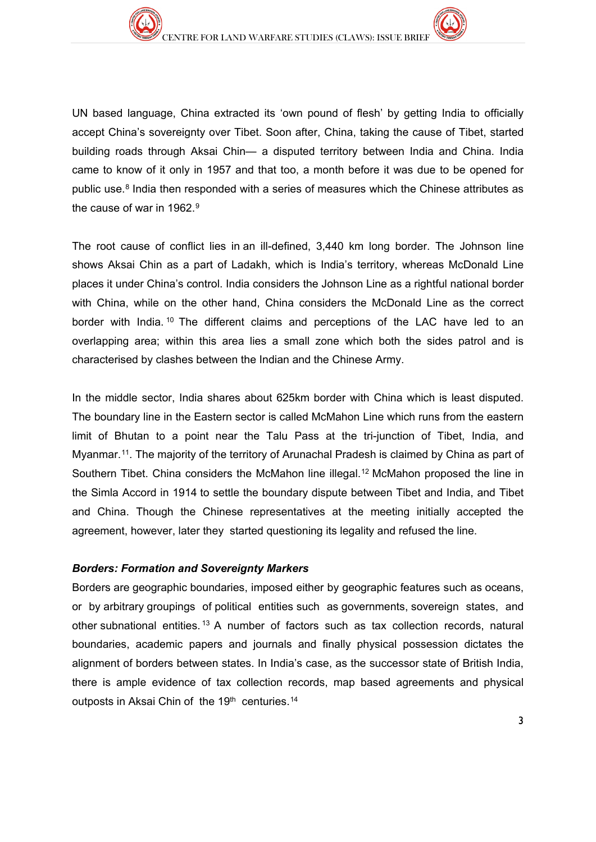UN based language, China extracted its 'own pound of flesh' by getting India to officially accept China's sovereignty over Tibet. Soon after, China, taking the cause of Tibet, started building roads through Aksai Chin— a disputed territory between India and China. India came to know of it only in 1957 and that too, a month before it was due to be opened for public use.<sup>[8](#page-2-7)</sup> India then responded with a series of measures which the Chinese attributes as the cause of war in 1[9](#page-2-8)62.<sup>9</sup>

<span id="page-2-2"></span><span id="page-2-1"></span><span id="page-2-0"></span>The root cause of conflict lies in an ill-defined, 3,440 km long border. The Johnson line shows Aksai Chin as a part of Ladakh, which is India's territory, whereas McDonald Line places it under China's control. India considers the Johnson Line as a rightful national border with China, while on the other hand, China considers the McDonald Line as the correct border with India.<sup>[10](#page-2-9)</sup> The different claims and perceptions of the LAC have led to an overlapping area; within this area lies a small zone which both the sides patrol and is characterised by clashes between the Indian and the Chinese Army.

<span id="page-2-8"></span><span id="page-2-7"></span><span id="page-2-6"></span><span id="page-2-5"></span><span id="page-2-4"></span><span id="page-2-3"></span>In the middle sector, India shares about 625km border with China which is least disputed. The boundary line in the Eastern sector is called McMahon Line which runs from the eastern limit of Bhutan to a point near the Talu Pass at the tri-junction of Tibet, India, and Myanmar.[1](#page-2-10)1. The majority of the territory of Arunachal Pradesh is claimed by China as part of Southern Tibet. China considers the McMahon line illegal.<sup>[12](#page-2-11)</sup> McMahon proposed the line in the Simla Accord in 1914 to settle the boundary dispute between Tibet and India, and Tibet and China. Though the Chinese representatives at the meeting initially accepted the agreement, however, later they started questioning its legality and refused the line.

#### <span id="page-2-11"></span><span id="page-2-10"></span><span id="page-2-9"></span>*Borders: Formation and Sovereignty Markers*

<span id="page-2-17"></span><span id="page-2-16"></span><span id="page-2-15"></span><span id="page-2-14"></span><span id="page-2-13"></span><span id="page-2-12"></span>Borders are geographic boundaries, imposed either by geographic features such as oceans, or by arbitrary groupings of political entities such as governments, sovereign states, and other subnational entities. [13](#page-2-12) A number of factors such as tax collection records, natural boundaries, academic papers and journals and finally physical possession dictates the alignment of borders between states. In India's case, as the successor state of British India, there is ample evidence of tax collection records, map based agreements and physical outposts in Aksai Chin of the 19<sup>th</sup> centuries.<sup>[14](#page-2-13)</sup>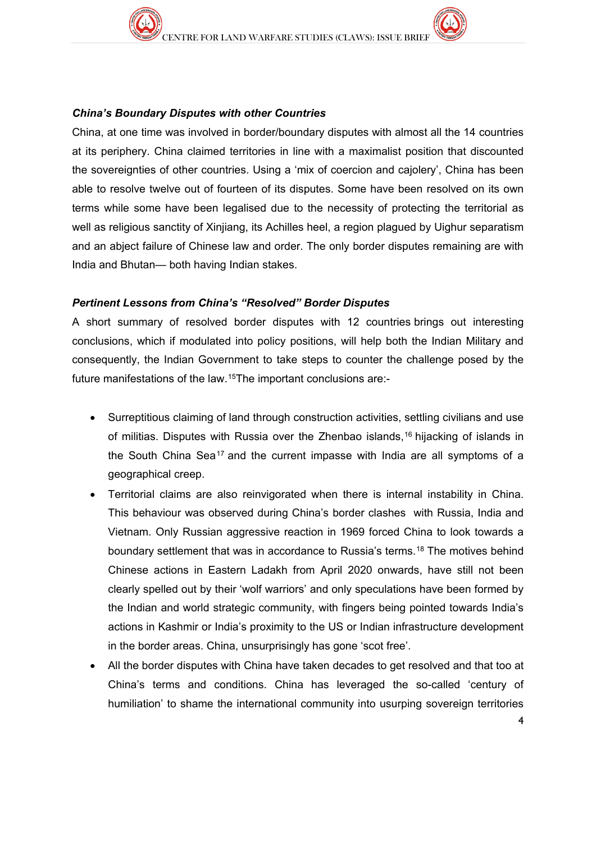#### *China's Boundary Disputes with other Countries*

<span id="page-3-3"></span><span id="page-3-2"></span><span id="page-3-1"></span><span id="page-3-0"></span>China, at one time was involved in border/boundary disputes with almost all the 14 countries at its periphery. China claimed territories in line with a maximalist position that discounted the sovereignties of other countries. Using a 'mix of coercion and cajolery', China has been able to resolve twelve out of fourteen of its disputes. Some have been resolved on its own terms while some have been legalised due to the necessity of protecting the territorial as well as religious sanctity of Xinjiang, its Achilles heel, a region plagued by Uighur separatism and an abject failure of Chinese law and order. The only border disputes remaining are with India and Bhutan— both having Indian stakes.

#### <span id="page-3-8"></span><span id="page-3-7"></span><span id="page-3-6"></span><span id="page-3-5"></span><span id="page-3-4"></span>*Pertinent Lessons from China's "Resolved" Border Disputes*

<span id="page-3-10"></span><span id="page-3-9"></span>A short summary of resolved border disputes with 12 countries brings out interesting conclusions, which if modulated into policy positions, will help both the Indian Military and consequently, the Indian Government to take steps to counter the challenge posed by the future manifestations of the law.[15](#page-2-14)The important conclusions are:-

- <span id="page-3-11"></span>• Surreptitious claiming of land through construction activities, settling civilians and use of militias. Disputes with Russia over the Zhenbao islands,[16](#page-2-15) hijacking of islands in the South China Sea<sup>[1](#page-2-16)7</sup> and the current impasse with India are all symptoms of a geographical creep.
- Territorial claims are also reinvigorated when there is internal instability in China. This behaviour was observed during China's border clashes with Russia, India and Vietnam. Only Russian aggressive reaction in 1969 forced China to look towards a boundary settlement that was in accordance to Russia's terms.[18](#page-2-17) The motives behind Chinese actions in Eastern Ladakh from April 2020 onwards, have still not been clearly spelled out by their 'wolf warriors' and only speculations have been formed by the Indian and world strategic community, with fingers being pointed towards India's actions in Kashmir or India's proximity to the US or Indian infrastructure development in the border areas. China, unsurprisingly has gone 'scot free'.
- All the border disputes with China have taken decades to get resolved and that too at China's terms and conditions. China has leveraged the so-called 'century of humiliation' to shame the international community into usurping sovereign territories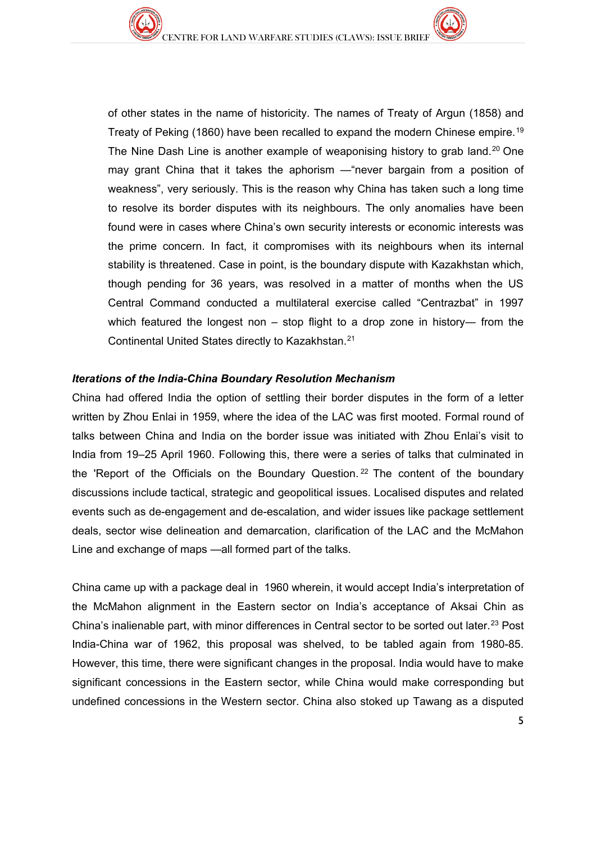of other states in the name of historicity. The names of Treaty of Argun (1858) and Treaty of Peking (1860) have been recalled to expand the modern Chinese empire.[1](#page-3-0)9 The Nine Dash Line is another example of weaponising history to grab land.[20](#page-3-1) One may grant China that it takes the aphorism —"never bargain from a position of weakness", very seriously. This is the reason why China has taken such a long time to resolve its border disputes with its neighbours. The only anomalies have been found were in cases where China's own security interests or economic interests was the prime concern. In fact, it compromises with its neighbours when its internal stability is threatened. Case in point, is the boundary dispute with Kazakhstan which, though pending for 36 years, was resolved in a matter of months when the US Central Command conducted a multilateral exercise called "Centrazbat" in 1997 which featured the longest non – stop flight to a drop zone in history— from the Continental United States directly to Kazakhstan.[21](#page-3-2)

#### *Iterations of the India-China Boundary Resolution Mechanism*

China had offered India the option of settling their border disputes in the form of a letter written by Zhou Enlai in 1959, where the idea of the LAC was first mooted. Formal round of talks between China and India on the border issue was initiated with Zhou Enlai's visit to India from 19–25 April 1960. Following this, there were a series of talks that culminated in the 'Report of the Officials on the Boundary Question.<sup>[2](#page-3-3)2</sup> The content of the boundary discussions include tactical, strategic and geopolitical issues. Localised disputes and related events such as de-engagement and de-escalation, and wider issues like package settlement deals, sector wise delineation and demarcation, clarification of the LAC and the McMahon Line and exchange of maps —all formed part of the talks.

China came up with a package deal in 1960 wherein, it would accept India's interpretation of the McMahon alignment in the Eastern sector on India's acceptance of Aksai Chin as China's inalienable part, with minor differences in Central sector to be sorted out later.[2](#page-3-4)3 Post India-China war of 1962, this proposal was shelved, to be tabled again from 1980-85. However, this time, there were significant changes in the proposal. India would have to make significant concessions in the Eastern sector, while China would make corresponding but undefined concessions in the Western sector. China also stoked up Tawang as a disputed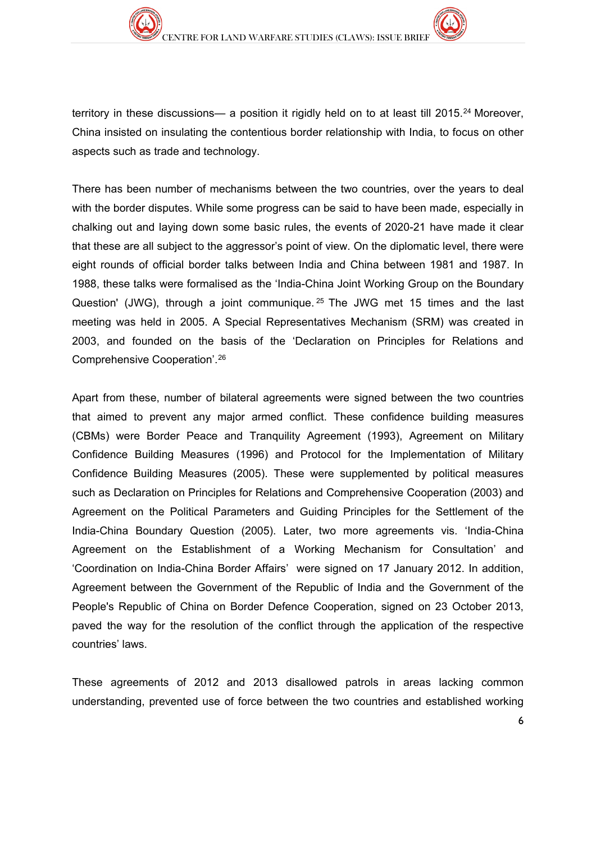territory in these discussions— a position it rigidly held on to at least till 2015.<sup>[24](#page-3-5)</sup> Moreover, China insisted on insulating the contentious border relationship with India, to focus on other aspects such as trade and technology.

There has been number of mechanisms between the two countries, over the years to deal with the border disputes. While some progress can be said to have been made, especially in chalking out and laying down some basic rules, the events of 2020-21 have made it clear that these are all subject to the aggressor's point of view. On the diplomatic level, there were eight rounds of official border talks between India and China between 1981 and 1987. In 1988, these talks were formalised as the 'India-China Joint Working Group on the Boundary Question' (JWG), through a joint communique. <sup>[25](#page-3-6)</sup> The JWG met 15 times and the last meeting was held in 2005. A Special Representatives Mechanism (SRM) was created in 2003, and founded on the basis of the 'Declaration on Principles for Relations and Comprehensive Cooperation'.[26](#page-3-7)

Apart from these, number of bilateral agreements were signed between the two countries that aimed to prevent any major armed conflict. These confidence building measures (CBMs) were Border Peace and Tranquility Agreement (1993), Agreement on Military Confidence Building Measures (1996) and Protocol for the Implementation of Military Confidence Building Measures (2005). These were supplemented by political measures such as Declaration on Principles for Relations and Comprehensive Cooperation (2003) and Agreement on the Political Parameters and Guiding Principles for the Settlement of the India-China Boundary Question (2005). Later, two more agreements vis. 'India-China Agreement on the Establishment of a Working Mechanism for Consultation' and 'Coordination on India-China Border Affairs' were signed on 17 January 2012. In addition, Agreement between the Government of the Republic of India and the Government of the People's Republic of China on Border Defence Cooperation, signed on 23 October 2013, paved the way for the resolution of the conflict through the application of the respective countries' laws.

These agreements of 2012 and 2013 disallowed patrols in areas lacking common understanding, prevented use of force between the two countries and established working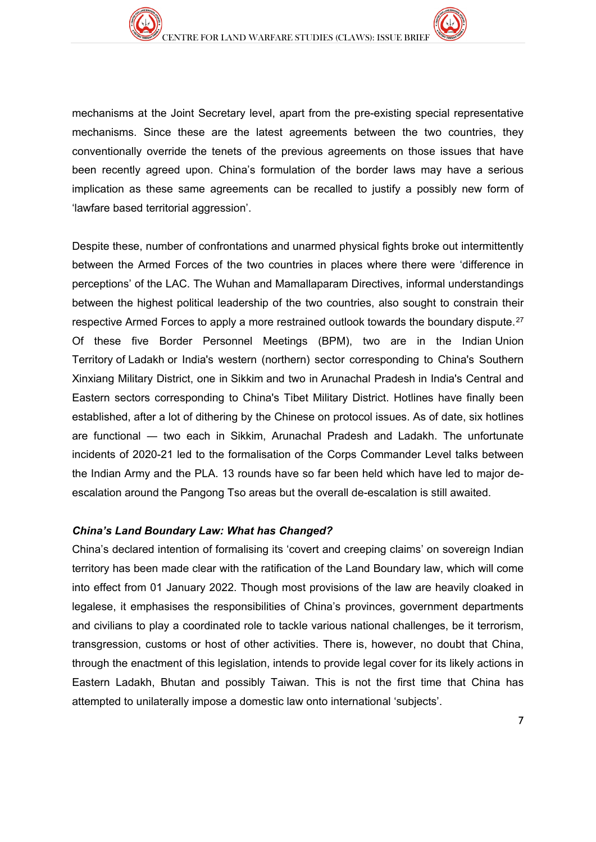mechanisms at the Joint Secretary level, apart from the pre-existing special representative mechanisms. Since these are the latest agreements between the two countries, they conventionally override the tenets of the previous agreements on those issues that have been recently agreed upon. China's formulation of the border laws may have a serious implication as these same agreements can be recalled to justify a possibly new form of 'lawfare based territorial aggression'.

Despite these, number of confrontations and unarmed physical fights broke out intermittently between the Armed Forces of the two countries in places where there were 'difference in perceptions' of the LAC. The Wuhan and Mamallaparam Directives, informal understandings between the highest political leadership of the two countries, also sought to constrain their respective Armed Forces to apply a more restrained outlook towards the boundary dispute.<sup>[2](#page-3-8)7</sup> Of these five Border Personnel Meetings (BPM), two are in the Indian Union Territory of Ladakh or India's western (northern) sector corresponding to China's Southern Xinxiang Military District, one in Sikkim and two in Arunachal Pradesh in India's Central and Eastern sectors corresponding to China's Tibet Military District. Hotlines have finally been established, after a lot of dithering by the Chinese on protocol issues. As of date, six hotlines are functional ― two each in Sikkim, Arunachal Pradesh and Ladakh. The unfortunate incidents of 2020-21 led to the formalisation of the Corps Commander Level talks between the Indian Army and the PLA. 13 rounds have so far been held which have led to major deescalation around the Pangong Tso areas but the overall de-escalation is still awaited.

#### *China's Land Boundary Law: What has Changed?*

China's declared intention of formalising its 'covert and creeping claims' on sovereign Indian territory has been made clear with the ratification of the Land Boundary law, which will come into effect from 01 January 2022. Though most provisions of the law are heavily cloaked in legalese, it emphasises the responsibilities of China's provinces, government departments and civilians to play a coordinated role to tackle various national challenges, be it terrorism, transgression, customs or host of other activities. There is, however, no doubt that China, through the enactment of this legislation, intends to provide legal cover for its likely actions in Eastern Ladakh, Bhutan and possibly Taiwan. This is not the first time that China has attempted to unilaterally impose a domestic law onto international 'subjects'.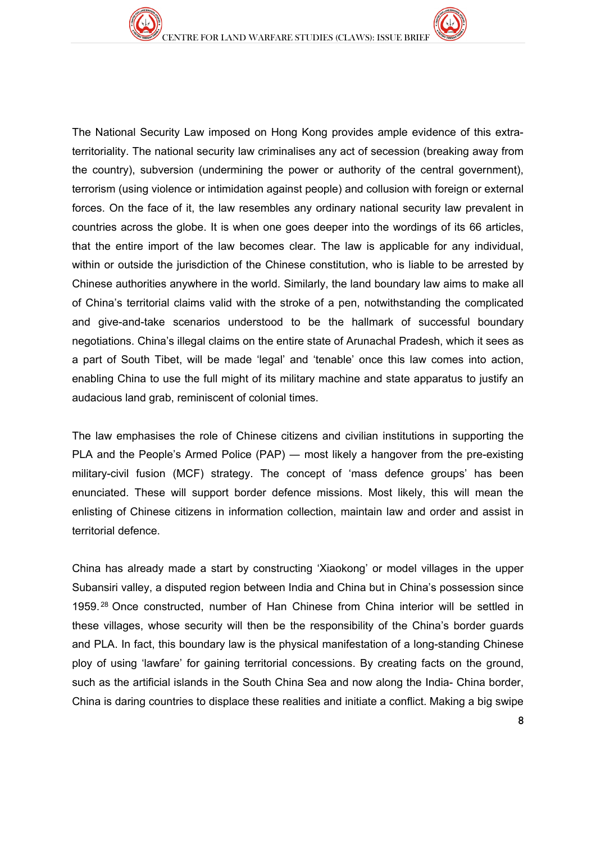The National Security Law imposed on Hong Kong provides ample evidence of this extraterritoriality. The national security law criminalises any act of secession (breaking away from the country), subversion (undermining the power or authority of the central government), terrorism (using violence or intimidation against people) and collusion with foreign or external forces. On the face of it, the law resembles any ordinary national security law prevalent in countries across the globe. It is when one goes deeper into the wordings of its 66 articles, that the entire import of the law becomes clear. The law is applicable for any individual, within or outside the jurisdiction of the Chinese constitution, who is liable to be arrested by Chinese authorities anywhere in the world. Similarly, the land boundary law aims to make all of China's territorial claims valid with the stroke of a pen, notwithstanding the complicated and give-and-take scenarios understood to be the hallmark of successful boundary negotiations. China's illegal claims on the entire state of Arunachal Pradesh, which it sees as a part of South Tibet, will be made 'legal' and 'tenable' once this law comes into action, enabling China to use the full might of its military machine and state apparatus to justify an audacious land grab, reminiscent of colonial times.

The law emphasises the role of Chinese citizens and civilian institutions in supporting the PLA and the People's Armed Police (PAP) — most likely a hangover from the pre-existing military-civil fusion (MCF) strategy. The concept of 'mass defence groups' has been enunciated. These will support border defence missions. Most likely, this will mean the enlisting of Chinese citizens in information collection, maintain law and order and assist in territorial defence.

China has already made a start by constructing 'Xiaokong' or model villages in the upper Subansiri valley, a disputed region between India and China but in China's possession since 1959. [28](#page-3-9) Once constructed, number of Han Chinese from China interior will be settled in these villages, whose security will then be the responsibility of the China's border guards and PLA. In fact, this boundary law is the physical manifestation of a long-standing Chinese ploy of using 'lawfare' for gaining territorial concessions. By creating facts on the ground, such as the artificial islands in the South China Sea and now along the India- China border, China is daring countries to displace these realities and initiate a conflict. Making a big swipe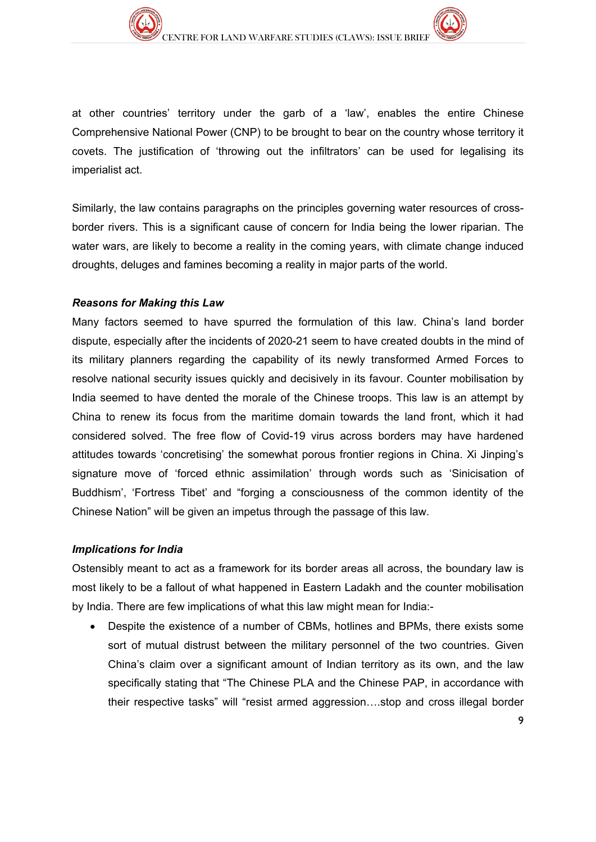at other countries' territory under the garb of a 'law', enables the entire Chinese Comprehensive National Power (CNP) to be brought to bear on the country whose territory it covets. The justification of 'throwing out the infiltrators' can be used for legalising its imperialist act.

Similarly, the law contains paragraphs on the principles governing water resources of crossborder rivers. This is a significant cause of concern for India being the lower riparian. The water wars, are likely to become a reality in the coming years, with climate change induced droughts, deluges and famines becoming a reality in major parts of the world.

#### *Reasons for Making this Law*

Many factors seemed to have spurred the formulation of this law. China's land border dispute, especially after the incidents of 2020-21 seem to have created doubts in the mind of its military planners regarding the capability of its newly transformed Armed Forces to resolve national security issues quickly and decisively in its favour. Counter mobilisation by India seemed to have dented the morale of the Chinese troops. This law is an attempt by China to renew its focus from the maritime domain towards the land front, which it had considered solved. The free flow of Covid-19 virus across borders may have hardened attitudes towards 'concretising' the somewhat porous frontier regions in China. Xi Jinping's signature move of 'forced ethnic assimilation' through words such as 'Sinicisation of Buddhism', 'Fortress Tibet' and "forging a consciousness of the common identity of the Chinese Nation" will be given an impetus through the passage of this law.

#### *Implications for India*

Ostensibly meant to act as a framework for its border areas all across, the boundary law is most likely to be a fallout of what happened in Eastern Ladakh and the counter mobilisation by India. There are few implications of what this law might mean for India:-

• Despite the existence of a number of CBMs, hotlines and BPMs, there exists some sort of mutual distrust between the military personnel of the two countries. Given China's claim over a significant amount of Indian territory as its own, and the law specifically stating that "The Chinese PLA and the Chinese PAP, in accordance with their respective tasks" will "resist armed aggression….stop and cross illegal border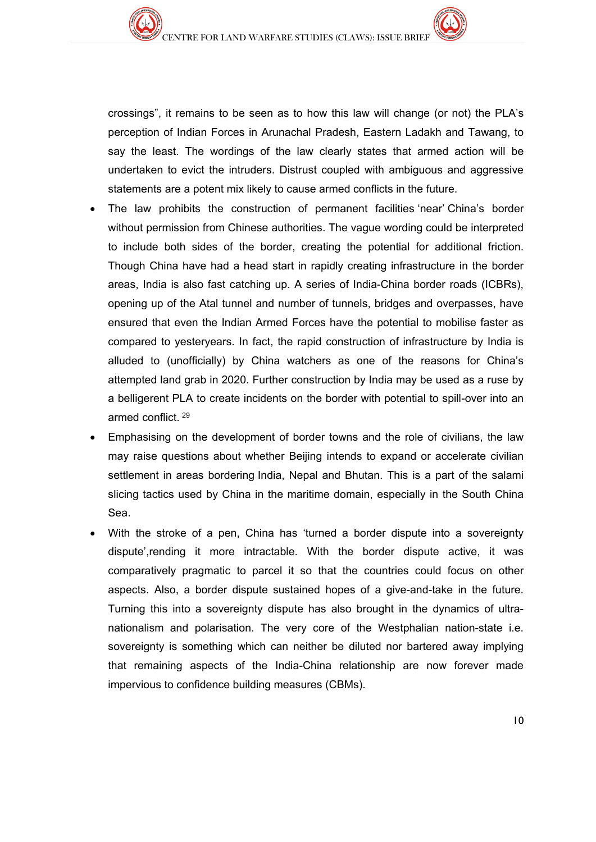crossings", it remains to be seen as to how this law will change (or not) the PLA's perception of Indian Forces in Arunachal Pradesh, Eastern Ladakh and Tawang, to say the least. The wordings of the law clearly states that armed action will be undertaken to evict the intruders. Distrust coupled with ambiguous and aggressive statements are a potent mix likely to cause armed conflicts in the future.

- The law prohibits the construction of permanent facilities 'near' China's border without permission from Chinese authorities. The vague wording could be interpreted to include both sides of the border, creating the potential for additional friction. Though China have had a head start in rapidly creating infrastructure in the border areas, India is also fast catching up. A series of India-China border roads (ICBRs), opening up of the Atal tunnel and number of tunnels, bridges and overpasses, have ensured that even the Indian Armed Forces have the potential to mobilise faster as compared to yesteryears. In fact, the rapid construction of infrastructure by India is alluded to (unofficially) by China watchers as one of the reasons for China's attempted land grab in 2020. Further construction by India may be used as a ruse by a belligerent PLA to create incidents on the border with potential to spill-over into an armed conflict. [29](#page-3-10)
- Emphasising on the development of border towns and the role of civilians, the law may raise questions about whether Beijing intends to expand or accelerate civilian settlement in areas bordering India, Nepal and Bhutan. This is a part of the salami slicing tactics used by China in the maritime domain, especially in the South China Sea.
- With the stroke of a pen, China has 'turned a border dispute into a sovereignty dispute',rending it more intractable. With the border dispute active, it was comparatively pragmatic to parcel it so that the countries could focus on other aspects. Also, a border dispute sustained hopes of a give-and-take in the future. Turning this into a sovereignty dispute has also brought in the dynamics of ultranationalism and polarisation. The very core of the Westphalian nation-state i.e. sovereignty is something which can neither be diluted nor bartered away implying that remaining aspects of the India-China relationship are now forever made impervious to confidence building measures (CBMs).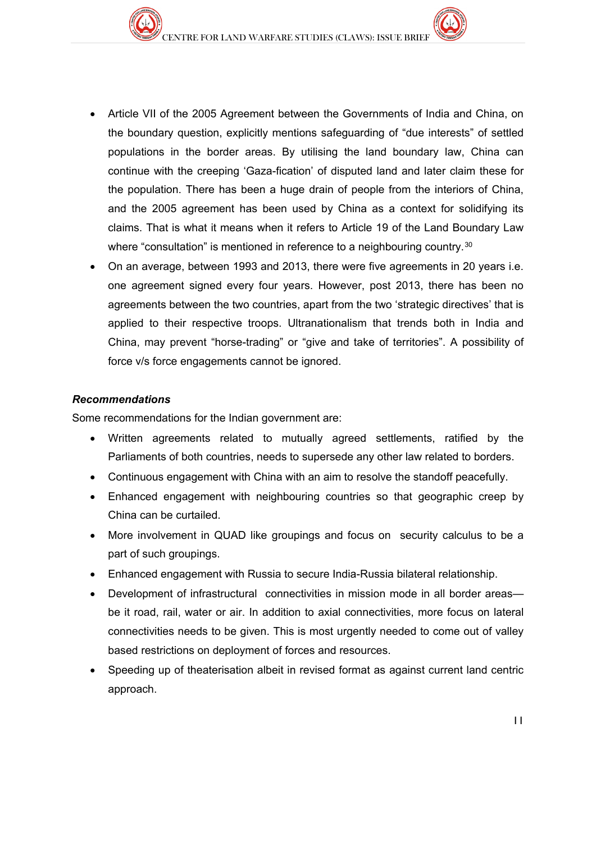- Article VII of the 2005 Agreement between the Governments of India and China, on the boundary question, explicitly mentions safeguarding of "due interests" of settled populations in the border areas. By utilising the land boundary law, China can continue with the creeping 'Gaza-fication' of disputed land and later claim these for the population. There has been a huge drain of people from the interiors of China, and the 2005 agreement has been used by China as a context for solidifying its claims. That is what it means when it refers to Article 19 of the Land Boundary Law where "consultation" is mentioned in reference to a neighbouring country.<sup>[3](#page-3-11)0</sup>
- On an average, between 1993 and 2013, there were five agreements in 20 years i.e. one agreement signed every four years. However, post 2013, there has been no agreements between the two countries, apart from the two 'strategic directives' that is applied to their respective troops. Ultranationalism that trends both in India and China, may prevent "horse-trading" or "give and take of territories". A possibility of force v/s force engagements cannot be ignored.

#### *Recommendations*

Some recommendations for the Indian government are:

- Written agreements related to mutually agreed settlements, ratified by the Parliaments of both countries, needs to supersede any other law related to borders.
- Continuous engagement with China with an aim to resolve the standoff peacefully.
- Enhanced engagement with neighbouring countries so that geographic creep by China can be curtailed.
- More involvement in QUAD like groupings and focus on security calculus to be a part of such groupings.
- Enhanced engagement with Russia to secure India-Russia bilateral relationship.
- Development of infrastructural connectivities in mission mode in all border areas be it road, rail, water or air. In addition to axial connectivities, more focus on lateral connectivities needs to be given. This is most urgently needed to come out of valley based restrictions on deployment of forces and resources.
- Speeding up of theaterisation albeit in revised format as against current land centric approach.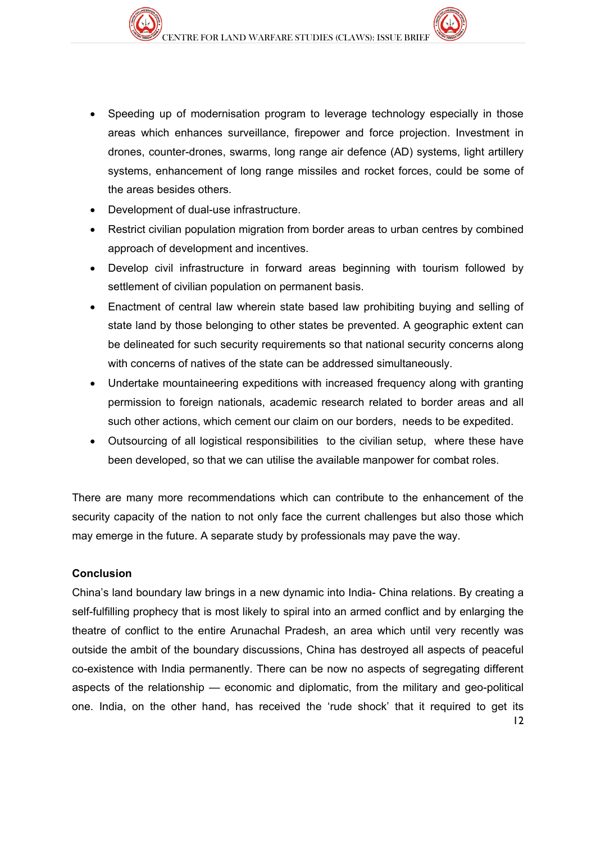- Speeding up of modernisation program to leverage technology especially in those areas which enhances surveillance, firepower and force projection. Investment in drones, counter-drones, swarms, long range air defence (AD) systems, light artillery systems, enhancement of long range missiles and rocket forces, could be some of the areas besides others.
- Development of dual-use infrastructure.
- Restrict civilian population migration from border areas to urban centres by combined approach of development and incentives.
- Develop civil infrastructure in forward areas beginning with tourism followed by settlement of civilian population on permanent basis.
- Enactment of central law wherein state based law prohibiting buying and selling of state land by those belonging to other states be prevented. A geographic extent can be delineated for such security requirements so that national security concerns along with concerns of natives of the state can be addressed simultaneously.
- Undertake mountaineering expeditions with increased frequency along with granting permission to foreign nationals, academic research related to border areas and all such other actions, which cement our claim on our borders, needs to be expedited.
- Outsourcing of all logistical responsibilities to the civilian setup, where these have been developed, so that we can utilise the available manpower for combat roles.

There are many more recommendations which can contribute to the enhancement of the security capacity of the nation to not only face the current challenges but also those which may emerge in the future. A separate study by professionals may pave the way.

### **Conclusion**

12 China's land boundary law brings in a new dynamic into India- China relations. By creating a self-fulfilling prophecy that is most likely to spiral into an armed conflict and by enlarging the theatre of conflict to the entire Arunachal Pradesh, an area which until very recently was outside the ambit of the boundary discussions, China has destroyed all aspects of peaceful co-existence with India permanently. There can be now no aspects of segregating different aspects of the relationship — economic and diplomatic, from the military and geo-political one. India, on the other hand, has received the 'rude shock' that it required to get its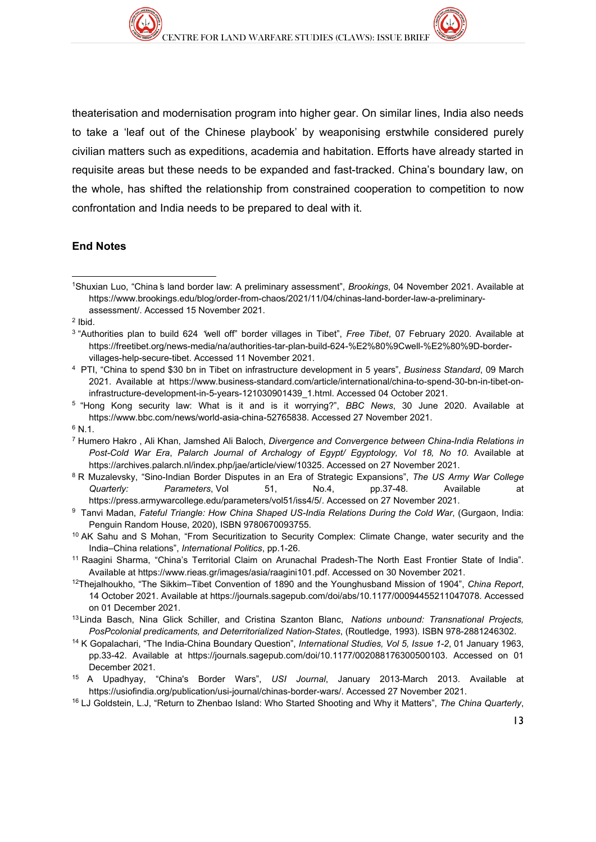theaterisation and modernisation program into higher gear. On similar lines, India also needs to take a 'leaf out of the Chinese playbook' by weaponising erstwhile considered purely civilian matters such as expeditions, academia and habitation. Efforts have already started in requisite areas but these needs to be expanded and fast-tracked. China's boundary law, on the whole, has shifted the relationship from constrained cooperation to competition to now confrontation and India needs to be prepared to deal with it.

#### **End Notes**

<sup>2</sup> Ibid.

- 6 N.1.
- <sup>7</sup> Humero Hakro , Ali Khan, Jamshed Ali Baloch, *Divergence and Convergence between China-India Relations in Post-Cold War Era*, *Palarch Journal of Archalogy of Egypt/ Egyptology, Vol 18, No 10*. Available at [https://archives.palarch.nl/index.php/jae/article/view/10325.](https://archives.palarch.nl/index.php/jae/article/view/10325) Accessed on 27 November 2021.
- 8 R Muzalevsky, "Sino-Indian Border Disputes in an Era of Strategic Expansions", *The US Army War College Quarterly: Parameters*, Vol 51, No.4, pp.37-48. Available at [https://press.armywarcollege.edu/parameters/vol51/iss4/5/.](https://press.armywarcollege.edu/parameters/vol51/iss4/5/) Accessed on 27 November 2021.
- 9 Tanvi Madan, *Fateful Triangle: How China Shaped US-India Relations During the Cold War*, (Gurgaon, India: Penguin Random House, 2020), ISBN 9780670093755.
- <sup>10</sup> AK Sahu and S Mohan, "From Securitization to Security Complex: Climate Change, water security and the India–China relations", *International Politics*, pp.1-26.
- <sup>11</sup> Raagini Sharma, "China's Territorial Claim on Arunachal Pradesh-The North East Frontier State of India". Available at [https://www.rieas.gr/images/asia/raagini101.pdf.](https://www.rieas.gr/images/asia/raagini101.pdf) Accessed on 30 November 2021.
- 12Thejalhoukho, "The Sikkim–Tibet Convention of 1890 and the Younghusband Mission of 1904", *China Report*, 14 October 2021. Available at [https://journals.sagepub.com/doi/abs/10.1177/00094455211047078.](https://journals.sagepub.com/doi/abs/10.1177/00094455211047078) Accessed on 01 December 2021.
- <sup>13</sup> Linda Basch, Nina Glick Schiller, and Cristina Szanton Blanc, *Nations unbound: Transnational Projects, PosPcolonial predicaments, and Deterritorialized Nation-States*, (Routledge, 1993). ISBN 978-2881246302.
- 14 K Gopalachari, "The India-China Boundary Question", *International Studies, Vol 5, Issue 1-2*, 01 January 1963, pp.33-42. Available at [https://journals.sagepub.com/doi/10.1177/002088176300500103.](https://journals.sagepub.com/doi/10.1177/002088176300500103) Accessed on 01 December 2021.
- 15 A Upadhyay, "China's Border Wars", *USI Journal*, January 2013-March 2013. Available at [https://usiofindia.org/publication/usi-journal/chinas-border-wars/.](https://usiofindia.org/publication/usi-journal/chinas-border-wars/) Accessed 27 November 2021.
- <sup>16</sup> LJ Goldstein, L.J, "Return to Zhenbao Island: Who Started Shooting and Why it Matters", *The China Quarterly*,

<sup>&</sup>lt;u>.</u> 1Shuxian Luo, "China's land border law: A preliminary assessment", *Brookings*, 04 November 2021. Available at https://www.brookings.edu/blog/order-from-chaos/2021/11/04/chinas-land-border-law-a-preliminaryassessment/. Accessed 15 November 2021.

<sup>3 &</sup>quot;Authorities plan to build 624 "well off" border villages in Tibet", *Free Tibet*, 07 February 2020. Available at https://freetibet.org/news-media/na/authorities-tar-plan-build-624-%E2%80%9Cwell-%E2%80%9D-bordervillages-help-secure-tibet. Accessed 11 November 2021.

<sup>4</sup> PTI, "China to spend \$30 bn in Tibet on infrastructure development in 5 years", *Business Standard*, 09 March 2021. Available at [https://www.business-standard.com/article/international/china-to-spend-30-bn-in-tibet-on](https://www.business-standard.com/article/international/china-to-spend-30-bn-in-tibet-on-infrastructure-development-in-5-years-121030901439_1.html)[infrastructure-development-in-5-years-121030901439\\_1.html.](https://www.business-standard.com/article/international/china-to-spend-30-bn-in-tibet-on-infrastructure-development-in-5-years-121030901439_1.html) Accessed 04 October 2021.

<sup>5 &</sup>quot;Hong Kong security law: What is it and is it worrying?", *BBC News*, 30 June 2020. Available at [https://www.bbc.com/news/world-asia-china-52765838.](https://www.bbc.com/news/world-asia-china-52765838) Accessed 27 November 2021.